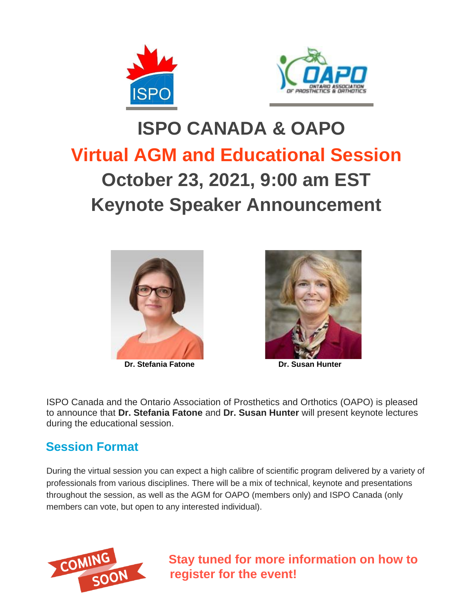



## **ISPO CANADA & OAPO Virtual AGM and Educational Session October 23, 2021, 9:00 am EST Keynote Speaker Announcement**



**Dr. Stefania Fatone Dr. Susan Hunter** 



ISPO Canada and the Ontario Association of Prosthetics and Orthotics (OAPO) is pleased to announce that **Dr. Stefania Fatone** and **Dr. Susan Hunter** will present keynote lectures during the educational session.

## **Session Format**

During the virtual session you can expect a high calibre of scientific program delivered by a variety of professionals from various disciplines. There will be a mix of technical, keynote and presentations throughout the session, as well as the AGM for OAPO (members only) and ISPO Canada (only members can vote, but open to any interested individual).



**Stay tuned for more information on how to register for the event!**